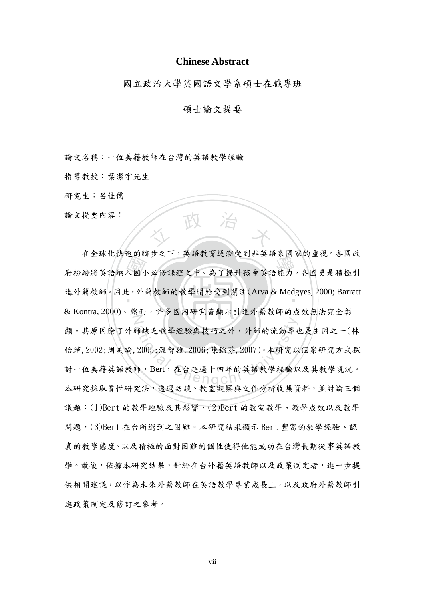## **Chinese Abstract**

國立政治大學英國語文學系碩士在職專班

## 碩士論文提要

論文名稱:一位美籍教師在台灣的英語教學經驗

指導教授:葉潔宇先生

研究生:呂佳儒

論文提要內容:

一、國 外 人 政 治 木 在王冰化氏途的卿少之下,共品叙月迎例文到升共品求國分的里仇, 仔國政<br>府紛紛將英語納入國小必修課程之中。為了提升孩童英語能力, 各國更是積極引 進外籍教師。因此, 外籍教師的教學開始受到關注(Arva & Medgyes, 2000; Barratt N 師缺乏教學經驗與技巧之外,外師的流動率也 在全球化快速的腳步之下,英語教育逐漸受到非英語系國家的重視。各國政 & Kontra, 2000)。然而,許多國內研究皆顯示引進外籍教師的成效無法完全彰 顯。其原因除了外師缺乏教學經驗與技巧之外,外師的流動率也是主因之一(林 怡瑾,2002;周美瑜,2005;溫智雄,2006;陳錦芬,2007)。本研究以個案研究方式探 討一位美籍英語教師,Bert,在台超過十四年的英語教學經驗以及其教學現況。 本研究採取質性研究法,透過訪談、教室觀察與文件分析收集資料,並討論三個 議題:(1)Bert 的教學經驗及其影響,(2)Bert 的教室教學、教學成效以及教學 問題,(3)Bert 在台所遇到之困難。本研究結果顯示 Bert 豐富的教學經驗、認 真的教學態度、以及積極的面對困難的個性使得他能成功在台灣長期從事英語教 學。最後,依據本研究結果,針於在台外籍英語教師以及政策制定者,進一步提 供相關建議,以作為未來外籍教師在英語教學專業成長上,以及政府外籍教師引 進政策制定及修訂之參考。